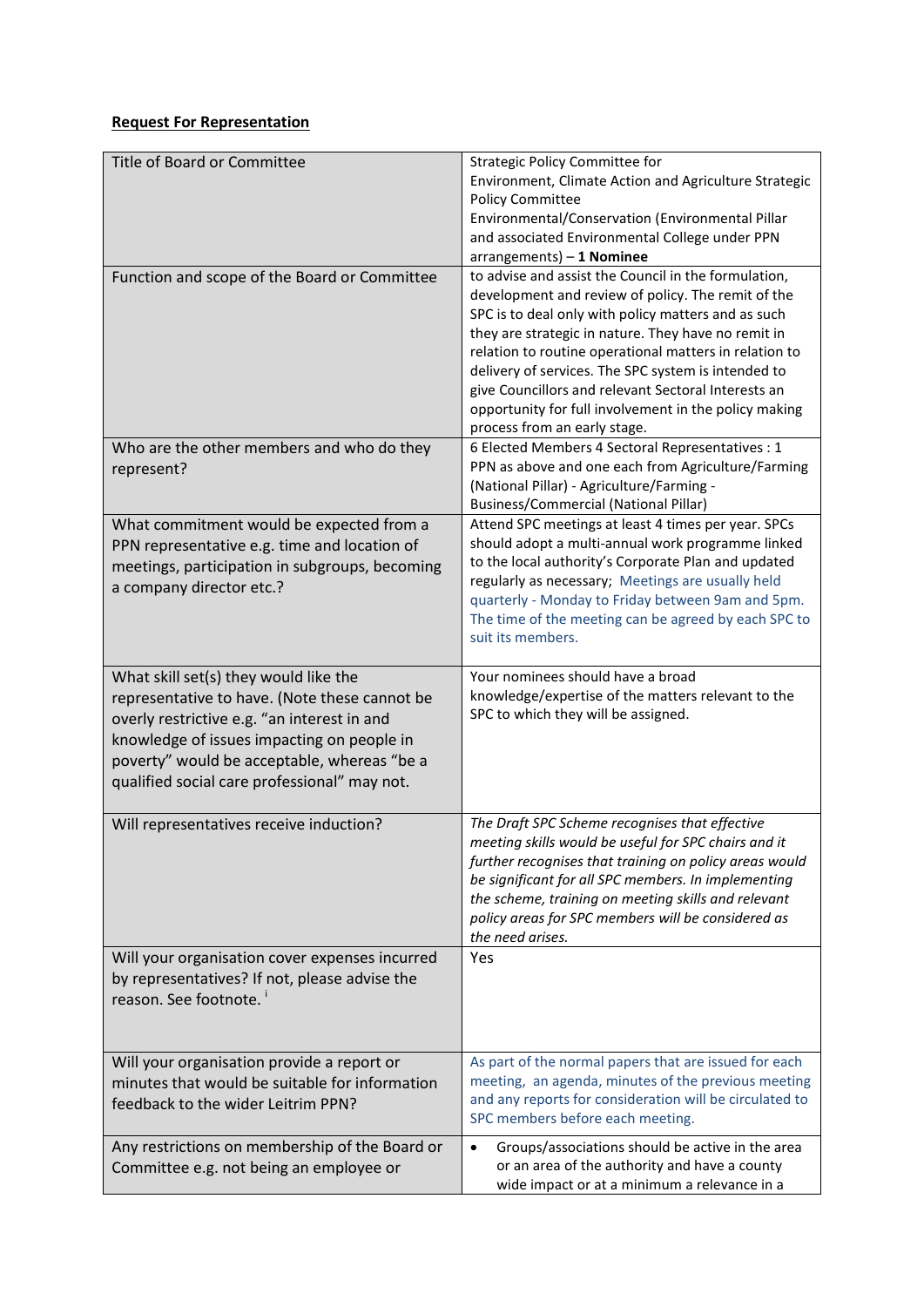## **Request For Representation**

| Title of Board or Committee                                                                                                                                                                                                                                                        | Strategic Policy Committee for<br>Environment, Climate Action and Agriculture Strategic<br><b>Policy Committee</b><br>Environmental/Conservation (Environmental Pillar<br>and associated Environmental College under PPN<br>arrangements) - 1 Nominee                                                                                                                                                                                                                                     |
|------------------------------------------------------------------------------------------------------------------------------------------------------------------------------------------------------------------------------------------------------------------------------------|-------------------------------------------------------------------------------------------------------------------------------------------------------------------------------------------------------------------------------------------------------------------------------------------------------------------------------------------------------------------------------------------------------------------------------------------------------------------------------------------|
| Function and scope of the Board or Committee                                                                                                                                                                                                                                       | to advise and assist the Council in the formulation,<br>development and review of policy. The remit of the<br>SPC is to deal only with policy matters and as such<br>they are strategic in nature. They have no remit in<br>relation to routine operational matters in relation to<br>delivery of services. The SPC system is intended to<br>give Councillors and relevant Sectoral Interests an<br>opportunity for full involvement in the policy making<br>process from an early stage. |
| Who are the other members and who do they<br>represent?                                                                                                                                                                                                                            | 6 Elected Members 4 Sectoral Representatives : 1<br>PPN as above and one each from Agriculture/Farming<br>(National Pillar) - Agriculture/Farming -<br><b>Business/Commercial (National Pillar)</b>                                                                                                                                                                                                                                                                                       |
| What commitment would be expected from a<br>PPN representative e.g. time and location of<br>meetings, participation in subgroups, becoming<br>a company director etc.?                                                                                                             | Attend SPC meetings at least 4 times per year. SPCs<br>should adopt a multi-annual work programme linked<br>to the local authority's Corporate Plan and updated<br>regularly as necessary; Meetings are usually held<br>quarterly - Monday to Friday between 9am and 5pm.<br>The time of the meeting can be agreed by each SPC to<br>suit its members.                                                                                                                                    |
| What skill set(s) they would like the<br>representative to have. (Note these cannot be<br>overly restrictive e.g. "an interest in and<br>knowledge of issues impacting on people in<br>poverty" would be acceptable, whereas "be a<br>qualified social care professional" may not. | Your nominees should have a broad<br>knowledge/expertise of the matters relevant to the<br>SPC to which they will be assigned.                                                                                                                                                                                                                                                                                                                                                            |
| Will representatives receive induction?                                                                                                                                                                                                                                            | The Draft SPC Scheme recognises that effective<br>meeting skills would be useful for SPC chairs and it<br>further recognises that training on policy areas would<br>be significant for all SPC members. In implementing<br>the scheme, training on meeting skills and relevant<br>policy areas for SPC members will be considered as<br>the need arises.                                                                                                                                  |
| Will your organisation cover expenses incurred<br>by representatives? If not, please advise the<br>reason. See footnote.                                                                                                                                                           | Yes                                                                                                                                                                                                                                                                                                                                                                                                                                                                                       |
| Will your organisation provide a report or<br>minutes that would be suitable for information<br>feedback to the wider Leitrim PPN?                                                                                                                                                 | As part of the normal papers that are issued for each<br>meeting, an agenda, minutes of the previous meeting<br>and any reports for consideration will be circulated to<br>SPC members before each meeting.                                                                                                                                                                                                                                                                               |
| Any restrictions on membership of the Board or<br>Committee e.g. not being an employee or                                                                                                                                                                                          | Groups/associations should be active in the area<br>$\bullet$<br>or an area of the authority and have a county<br>wide impact or at a minimum a relevance in a                                                                                                                                                                                                                                                                                                                            |